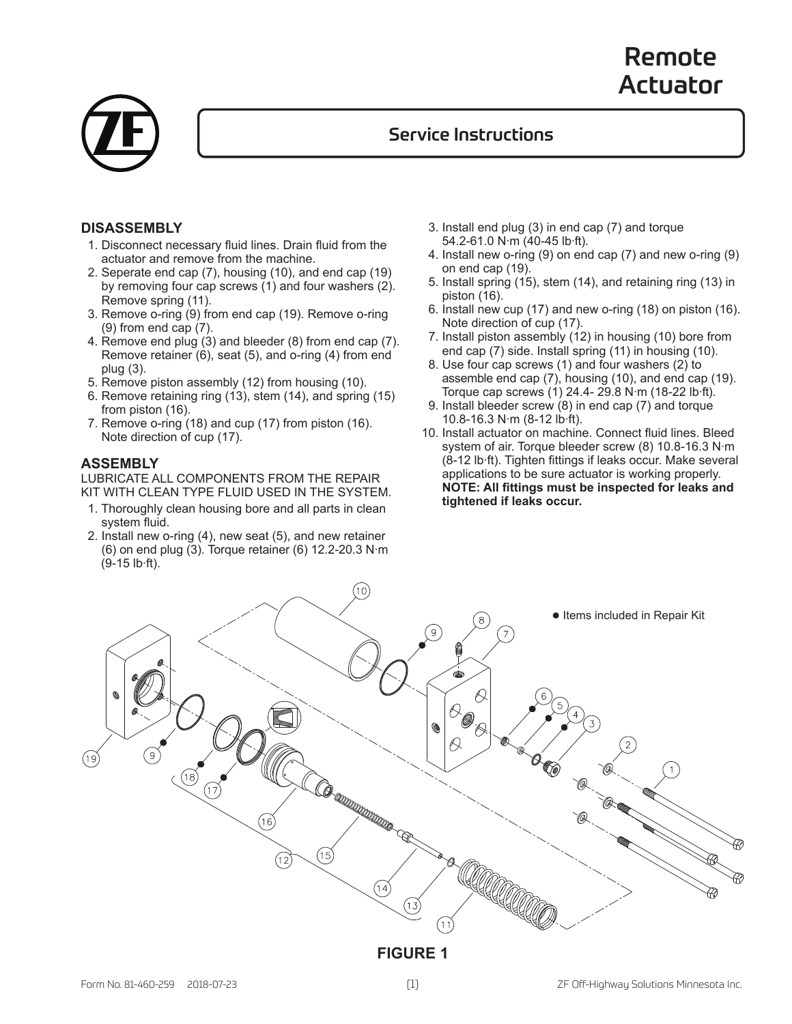# Remote Actuator



### Service Instructions

#### **DISASSEMBLY**

- 1. Disconnect necessary fluid lines. Drain fluid from the actuator and remove from the machine.
- 2. Seperate end cap (7), housing (10), and end cap (19) by removing four cap screws (1) and four washers (2). Remove spring (11).
- 3. Remove o-ring (9) from end cap (19). Remove o-ring (9) from end cap (7).
- 4. Remove end plug (3) and bleeder (8) from end cap (7). Remove retainer (6), seat (5), and o-ring (4) from end plug (3).
- 5. Remove piston assembly (12) from housing (10).
- 6. Remove retaining ring (13), stem (14), and spring (15) from piston (16).
- 7. Remove o-ring (18) and cup (17) from piston (16). Note direction of cup (17).

#### **ASSEMBLY**

LUBRICATE ALL COMPONENTS FROM THE REPAIR KIT WITH CLEAN TYPE FLUID USED IN THE SYSTEM.

- 1. Thoroughly clean housing bore and all parts in clean system fluid.
- 2. Install new o-ring (4), new seat (5), and new retainer (6) on end plug (3). Torque retainer (6) 12.2-20.3 N∙m (9-15 lb∙ft).
- 3. Install end plug (3) in end cap (7) and torque 54.2-61.0 N∙m (40-45 lb∙ft).
- 4. Install new o-ring (9) on end cap (7) and new o-ring (9) on end cap (19).
- 5. Install spring (15), stem (14), and retaining ring (13) in piston (16).
- 6. Install new cup (17) and new o-ring (18) on piston (16). Note direction of cup (17).
- 7. Install piston assembly (12) in housing (10) bore from end cap (7) side. Install spring (11) in housing (10).
- 8. Use four cap screws (1) and four washers (2) to assemble end cap (7), housing (10), and end cap (19). Torque cap screws (1) 24.4- 29.8 N∙m (18-22 lb∙ft).
- 9. Install bleeder screw (8) in end cap (7) and torque 10.8-16.3 N∙m (8-12 lb∙ft).
- 10. Install actuator on machine. Connect fluid lines. Bleed system of air. Torque bleeder screw (8) 10.8-16.3 N∙m (8-12 lb∙ft). Tighten fittings if leaks occur. Make several applications to be sure actuator is working properly. **NOTE: All fittings must be inspected for leaks and tightened if leaks occur.**



#### **FIGURE 1**